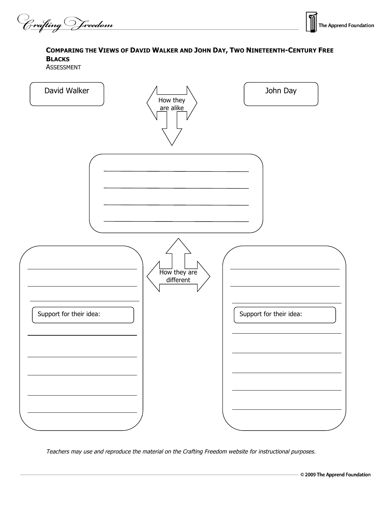Crafting Vreedom



## **COMPARING THE VIEWS OF DAVID WALKER AND JOHN DAY, TWO NINETEENTH-CENTURY FREE BLACKS**

ASSESSMENT



Teachers may use and reproduce the material on the Crafting Freedom website for instructional purposes.